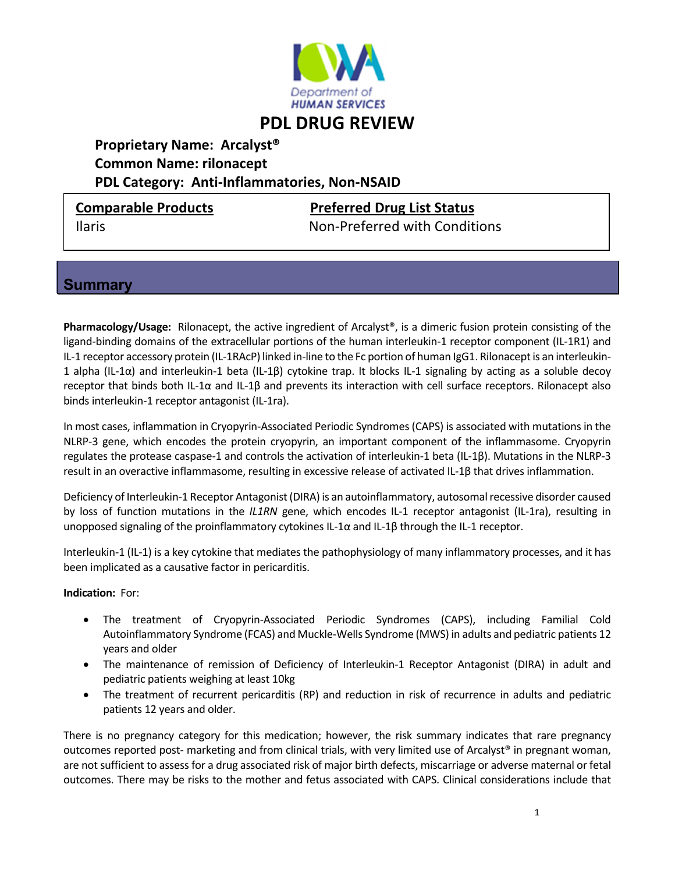

# **PDL DRUG REVIEW**

### **Proprietary Name: Arcalyst® Common Name: rilonacept PDL Category: Anti‐Inflammatories, Non‐NSAID**

**Comparable Products Preferred Drug List Status**

Ilaris Non‐Preferred with Conditions

#### **Summary**

Pharmacology/Usage: Rilonacept, the active ingredient of Arcalyst®, is a dimeric fusion protein consisting of the ligand‐binding domains of the extracellular portions of the human interleukin‐1 receptor component (IL‐1R1) and IL‐1 receptor accessory protein (IL‐1RAcP) linked in‐line to the Fc portion of human IgG1. Rilonaceptis an interleukin‐ 1 alpha (IL‐1α) and interleukin‐1 beta (IL‐1β) cytokine trap. It blocks IL‐1 signaling by acting as a soluble decoy receptor that binds both IL‐1α and IL‐1β and prevents its interaction with cell surface receptors. Rilonacept also binds interleukin‐1 receptor antagonist (IL‐1ra).

In most cases, inflammation in Cryopyrin‐Associated Periodic Syndromes(CAPS) is associated with mutations in the NLRP‐3 gene, which encodes the protein cryopyrin, an important component of the inflammasome. Cryopyrin regulates the protease caspase‐1 and controls the activation of interleukin‐1 beta (IL‐1β). Mutations in the NLRP‐3 result in an overactive inflammasome, resulting in excessive release of activated IL‐1β that drives inflammation.

Deficiency of Interleukin-1 Receptor Antagonist (DIRA) is an autoinflammatory, autosomal recessive disorder caused by loss of function mutations in the *IL1RN* gene, which encodes IL‐1 receptor antagonist (IL‐1ra), resulting in unopposed signaling of the proinflammatory cytokines IL‐1α and IL‐1β through the IL‐1 receptor.

Interleukin‐1 (IL‐1) is a key cytokine that mediates the pathophysiology of many inflammatory processes, and it has been implicated as a causative factor in pericarditis.

#### **Indication:** For:

- The treatment of Cryopyrin‐Associated Periodic Syndromes (CAPS), including Familial Cold Autoinflammatory Syndrome (FCAS) and Muckle‐Wells Syndrome (MWS) in adults and pediatric patients 12 years and older
- The maintenance of remission of Deficiency of Interleukin-1 Receptor Antagonist (DIRA) in adult and pediatric patients weighing at least 10kg
- The treatment of recurrent pericarditis (RP) and reduction in risk of recurrence in adults and pediatric patients 12 years and older.

There is no pregnancy category for this medication; however, the risk summary indicates that rare pregnancy outcomes reported post- marketing and from clinical trials, with very limited use of Arcalyst® in pregnant woman, are not sufficient to assess for a drug associated risk of major birth defects, miscarriage or adverse maternal or fetal outcomes. There may be risks to the mother and fetus associated with CAPS. Clinical considerations include that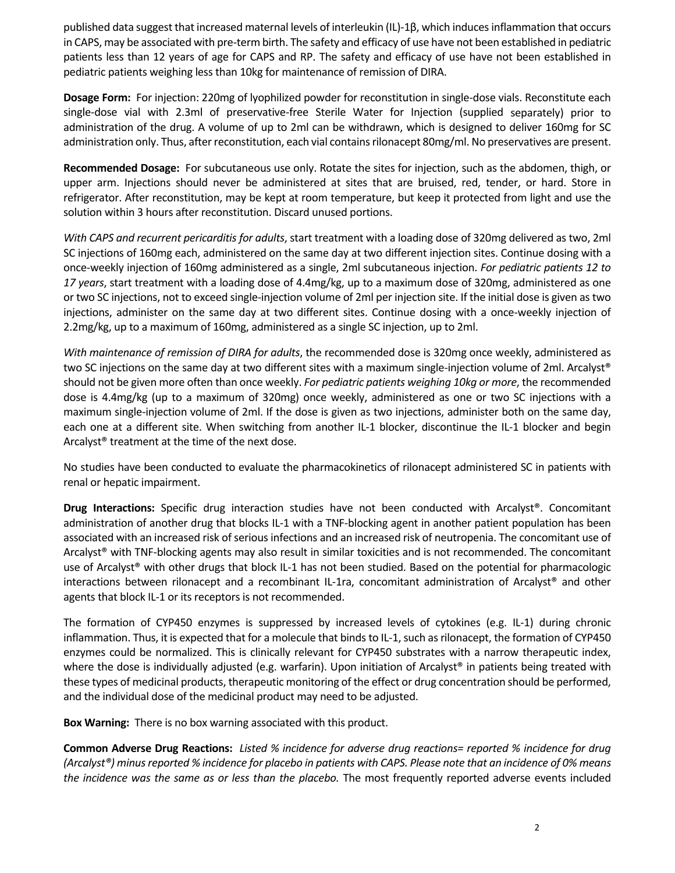published data suggest that increased maternal levels of interleukin (IL)-1β, which induces inflammation that occurs in CAPS, may be associated with pre‐term birth. The safety and efficacy of use have not been established in pediatric patients less than 12 years of age for CAPS and RP. The safety and efficacy of use have not been established in pediatric patients weighing less than 10kg for maintenance of remission of DIRA.

**Dosage Form:** For injection: 220mg of lyophilized powder for reconstitution in single‐dose vials. Reconstitute each single-dose vial with 2.3ml of preservative-free Sterile Water for Injection (supplied separately) prior to administration of the drug. A volume of up to 2ml can be withdrawn, which is designed to deliver 160mg for SC administration only. Thus, after reconstitution, each vial contains rilonacept 80mg/ml. No preservatives are present.

**Recommended Dosage:** For subcutaneous use only. Rotate the sites for injection, such as the abdomen, thigh, or upper arm. Injections should never be administered at sites that are bruised, red, tender, or hard. Store in refrigerator. After reconstitution, may be kept at room temperature, but keep it protected from light and use the solution within 3 hours after reconstitution. Discard unused portions.

*With CAPS and recurrent pericarditis for adults*, start treatment with a loading dose of 320mg delivered as two, 2ml SC injections of 160mg each, administered on the same day at two different injection sites. Continue dosing with a once‐weekly injection of 160mg administered as a single, 2ml subcutaneous injection. *For pediatric patients 12 to 17 years*, start treatment with a loading dose of 4.4mg/kg, up to a maximum dose of 320mg, administered as one or two SC injections, not to exceed single‐injection volume of 2ml per injection site. If the initial dose is given astwo injections, administer on the same day at two different sites. Continue dosing with a once-weekly injection of 2.2mg/kg, up to a maximum of 160mg, administered as a single SC injection, up to 2ml.

*With maintenance of remission of DIRA for adults*, the recommended dose is 320mg once weekly, administered as two SC injections on the same day at two different sites with a maximum single-injection volume of 2ml. Arcalyst® should not be given more often than once weekly. *For pediatric patients weighing 10kg or more*, the recommended dose is 4.4mg/kg (up to a maximum of 320mg) once weekly, administered as one or two SC injections with a maximum single‐injection volume of 2ml. If the dose is given as two injections, administer both on the same day, each one at a different site. When switching from another IL‐1 blocker, discontinue the IL‐1 blocker and begin Arcalyst® treatment at the time of the next dose.

No studies have been conducted to evaluate the pharmacokinetics of rilonacept administered SC in patients with renal or hepatic impairment.

**Drug Interactions:** Specific drug interaction studies have not been conducted with Arcalyst®. Concomitant administration of another drug that blocks IL‐1 with a TNF‐blocking agent in another patient population has been associated with an increased risk of serious infections and an increased risk of neutropenia. The concomitant use of Arcalyst® with TNF‐blocking agents may also result in similar toxicities and is not recommended. The concomitant use of Arcalyst® with other drugs that block IL-1 has not been studied. Based on the potential for pharmacologic interactions between rilonacept and a recombinant IL-1ra, concomitant administration of Arcalyst® and other agents that block IL‐1 or its receptors is not recommended.

The formation of CYP450 enzymes is suppressed by increased levels of cytokines (e.g. IL‐1) during chronic inflammation. Thus, it is expected that for a molecule that binds to IL-1, such as rilonacept, the formation of CYP450 enzymes could be normalized. This is clinically relevant for CYP450 substrates with a narrow therapeutic index, where the dose is individually adjusted (e.g. warfarin). Upon initiation of Arcalyst® in patients being treated with these types of medicinal products, therapeutic monitoring of the effect or drug concentration should be performed, and the individual dose of the medicinal product may need to be adjusted.

**Box Warning:** There is no box warning associated with this product.

Common Adverse Drug Reactions: Listed % incidence for adverse drug reactions= reported % incidence for drug (Arcalyst®) minus reported % incidence for placebo in patients with CAPS. Please note that an incidence of 0% means *the incidence was the same as or less than the placebo.* The most frequently reported adverse events included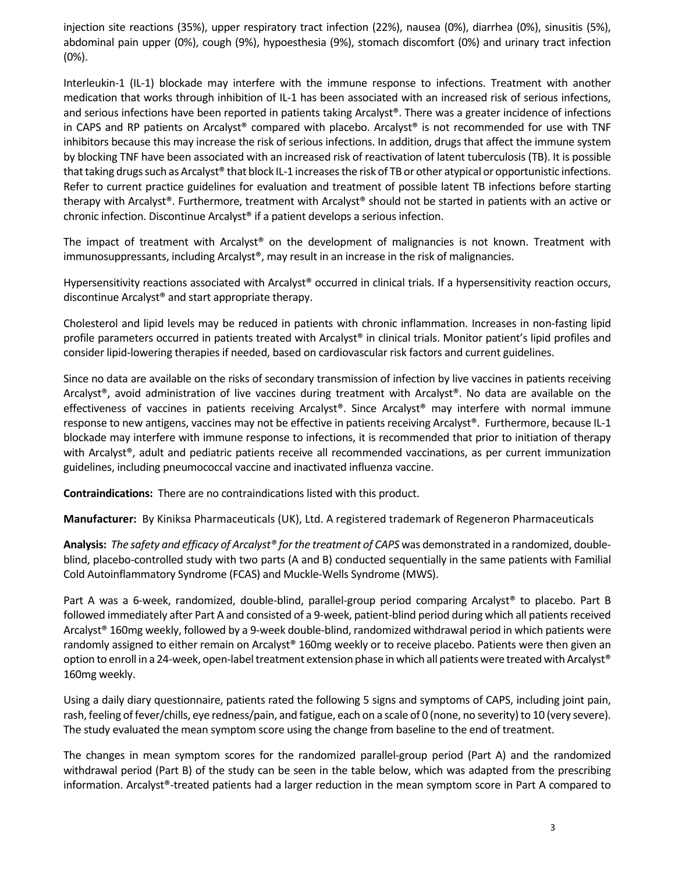injection site reactions (35%), upper respiratory tract infection (22%), nausea (0%), diarrhea (0%), sinusitis (5%), abdominal pain upper (0%), cough (9%), hypoesthesia (9%), stomach discomfort (0%) and urinary tract infection (0%).

Interleukin‐1 (IL‐1) blockade may interfere with the immune response to infections. Treatment with another medication that works through inhibition of IL‐1 has been associated with an increased risk of serious infections, and serious infections have been reported in patients taking Arcalyst®. There was a greater incidence of infections in CAPS and RP patients on Arcalyst® compared with placebo. Arcalyst® is not recommended for use with TNF inhibitors because this may increase the risk of serious infections. In addition, drugs that affect the immune system by blocking TNF have been associated with an increased risk of reactivation of latent tuberculosis (TB). It is possible that taking drugs such as Arcalyst<sup>®</sup> that block IL-1 increases the risk of TB or other atypical or opportunistic infections. Refer to current practice guidelines for evaluation and treatment of possible latent TB infections before starting therapy with Arcalyst®. Furthermore, treatment with Arcalyst® should not be started in patients with an active or chronic infection. Discontinue Arcalyst® if a patient develops a serious infection.

The impact of treatment with Arcalyst<sup>®</sup> on the development of malignancies is not known. Treatment with immunosuppressants, including Arcalyst®, may result in an increase in the risk of malignancies.

Hypersensitivity reactions associated with Arcalyst® occurred in clinical trials. If a hypersensitivity reaction occurs, discontinue Arcalyst® and start appropriate therapy.

Cholesterol and lipid levels may be reduced in patients with chronic inflammation. Increases in non‐fasting lipid profile parameters occurred in patients treated with Arcalyst® in clinical trials. Monitor patient's lipid profiles and consider lipid‐lowering therapies if needed, based on cardiovascular risk factors and current guidelines.

Since no data are available on the risks of secondary transmission of infection by live vaccines in patients receiving Arcalyst®, avoid administration of live vaccines during treatment with Arcalyst®. No data are available on the effectiveness of vaccines in patients receiving Arcalyst®. Since Arcalyst® may interfere with normal immune response to new antigens, vaccines may not be effective in patients receiving Arcalyst®. Furthermore, because IL-1 blockade may interfere with immune response to infections, it is recommended that prior to initiation of therapy with Arcalyst<sup>®</sup>, adult and pediatric patients receive all recommended vaccinations, as per current immunization guidelines, including pneumococcal vaccine and inactivated influenza vaccine.

**Contraindications:** There are no contraindications listed with this product.

**Manufacturer:** By Kiniksa Pharmaceuticals (UK), Ltd. A registered trademark of Regeneron Pharmaceuticals

**Analysis:** *The safety and efficacy of Arcalyst® forthe treatment of CAPS* was demonstrated in a randomized, double‐ blind, placebo-controlled study with two parts (A and B) conducted sequentially in the same patients with Familial Cold Autoinflammatory Syndrome (FCAS) and Muckle‐Wells Syndrome (MWS).

Part A was a 6-week, randomized, double-blind, parallel-group period comparing Arcalyst® to placebo. Part B followed immediately after Part A and consisted of a 9-week, patient-blind period during which all patients received Arcalyst® 160mg weekly, followed by a 9‐week double‐blind, randomized withdrawal period in which patients were randomly assigned to either remain on Arcalyst<sup>®</sup> 160mg weekly or to receive placebo. Patients were then given an option to enroll in a 24-week, open-label treatment extension phase in which all patients were treated with Arcalyst® 160mg weekly.

Using a daily diary questionnaire, patients rated the following 5 signs and symptoms of CAPS, including joint pain, rash, feeling of fever/chills, eye redness/pain, and fatigue, each on a scale of 0 (none, no severity) to 10 (very severe). The study evaluated the mean symptom score using the change from baseline to the end of treatment.

The changes in mean symptom scores for the randomized parallel‐group period (Part A) and the randomized withdrawal period (Part B) of the study can be seen in the table below, which was adapted from the prescribing information. Arcalyst®‐treated patients had a larger reduction in the mean symptom score in Part A compared to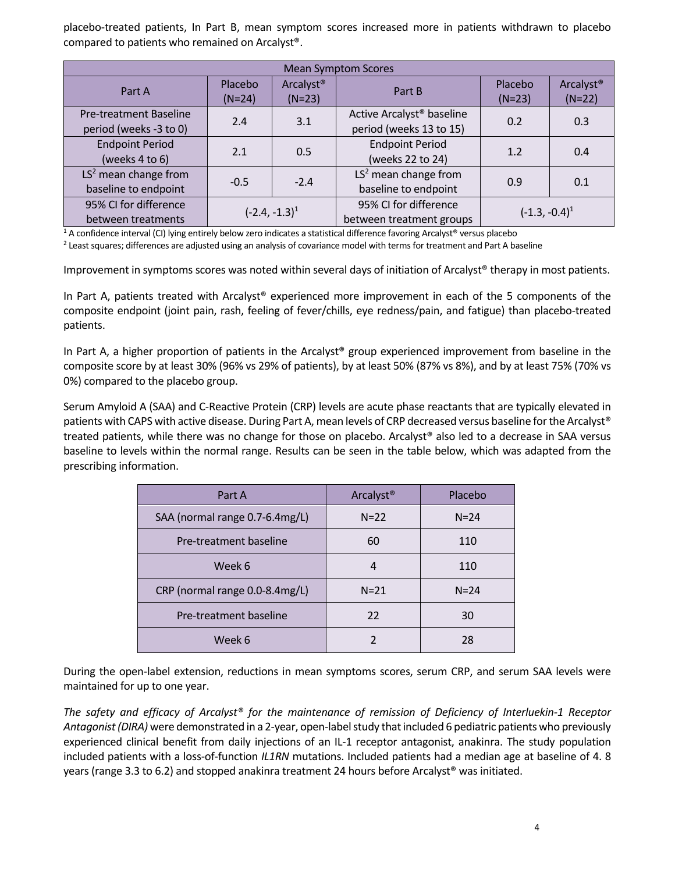placebo‐treated patients, In Part B, mean symptom scores increased more in patients withdrawn to placebo compared to patients who remained on Arcalyst®.

| <b>Mean Symptom Scores</b>                              |                            |                                   |                                                                  |                     |                                   |  |  |  |
|---------------------------------------------------------|----------------------------|-----------------------------------|------------------------------------------------------------------|---------------------|-----------------------------------|--|--|--|
| Part A                                                  | <b>Placebo</b><br>$(N=24)$ | Arcalyst <sup>®</sup><br>$(N=23)$ | Part B                                                           | Placebo<br>$(N=23)$ | Arcalyst <sup>®</sup><br>$(N=22)$ |  |  |  |
| <b>Pre-treatment Baseline</b><br>period (weeks -3 to 0) | 2.4                        | 3.1                               | Active Arcalyst <sup>®</sup> baseline<br>period (weeks 13 to 15) | 0.2                 | 0.3                               |  |  |  |
| <b>Endpoint Period</b><br>(weeks 4 to 6)                | 2.1                        | 0.5                               | <b>Endpoint Period</b><br>(weeks 22 to 24)                       | 1.2                 | 0.4                               |  |  |  |
| $LS2$ mean change from<br>baseline to endpoint          | $-0.5$                     | $-2.4$                            | $LS2$ mean change from<br>baseline to endpoint                   | 0.9                 | 0.1                               |  |  |  |
| 95% CI for difference<br>between treatments             | $(-2.4, -1.3)^{1}$         |                                   | 95% CI for difference<br>between treatment groups                | $(-1.3, -0.4)^1$    |                                   |  |  |  |

 $1$  A confidence interval (CI) lying entirely below zero indicates a statistical difference favoring Arcalyst® versus placebo

 $2$  Least squares; differences are adjusted using an analysis of covariance model with terms for treatment and Part A baseline

Improvement in symptoms scores was noted within several days of initiation of Arcalyst<sup>®</sup> therapy in most patients.

In Part A, patients treated with Arcalyst® experienced more improvement in each of the 5 components of the composite endpoint (joint pain, rash, feeling of fever/chills, eye redness/pain, and fatigue) than placebo‐treated patients.

In Part A, a higher proportion of patients in the Arcalyst<sup>®</sup> group experienced improvement from baseline in the composite score by at least 30% (96% vs 29% of patients), by at least 50% (87% vs 8%), and by at least 75% (70% vs 0%) compared to the placebo group.

Serum Amyloid A (SAA) and C‐Reactive Protein (CRP) levels are acute phase reactants that are typically elevated in patients with CAPS with active disease. During Part A, mean levels of CRP decreased versus baseline for the Arcalyst® treated patients, while there was no change for those on placebo. Arcalyst® also led to a decrease in SAA versus baseline to levels within the normal range. Results can be seen in the table below, which was adapted from the prescribing information.

| Part A                         | Arcalyst <sup>®</sup> | Placebo  |  |
|--------------------------------|-----------------------|----------|--|
| SAA (normal range 0.7-6.4mg/L) | $N=22$                | $N = 24$ |  |
| Pre-treatment baseline         | 60                    | 110      |  |
| Week 6                         | 4                     | 110      |  |
| CRP (normal range 0.0-8.4mg/L) | $N = 21$              | $N = 24$ |  |
| Pre-treatment baseline         | 22                    | 30       |  |
| Week 6                         |                       | 28       |  |

During the open‐label extension, reductions in mean symptoms scores, serum CRP, and serum SAA levels were maintained for up to one year.

The safety and efficacy of Arcalyst® for the maintenance of remission of Deficiency of Interluekin-1 Receptor Antagonist (DIRA) were demonstrated in a 2-year, open-label study that included 6 pediatric patients who previously experienced clinical benefit from daily injections of an IL‐1 receptor antagonist, anakinra. The study population included patients with a loss‐of‐function *IL1RN* mutations. Included patients had a median age at baseline of 4. 8 years (range 3.3 to 6.2) and stopped anakinra treatment 24 hours before Arcalyst® was initiated.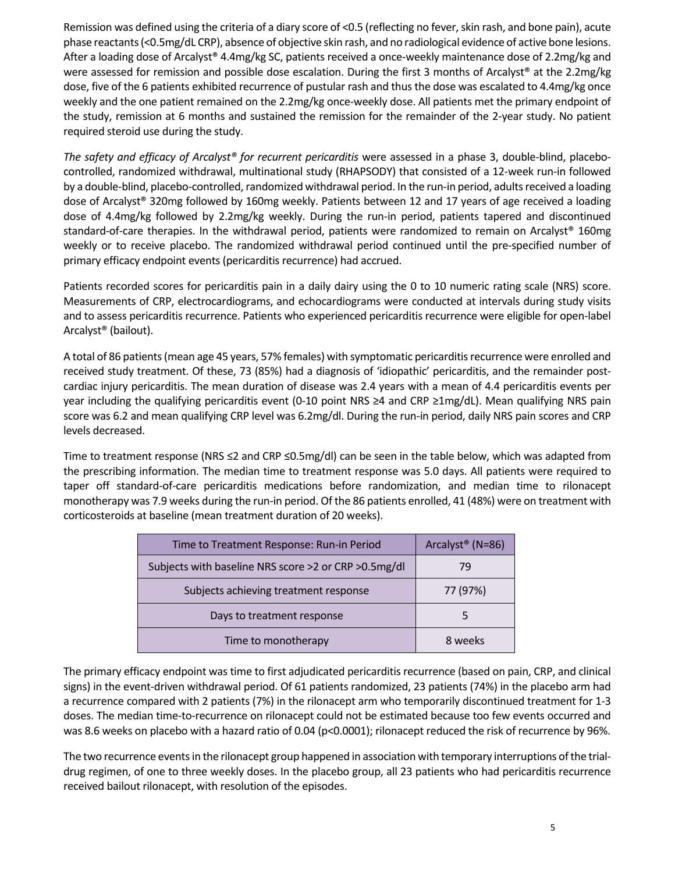Remission was defined using the criteria of a diary score of <0.5 (reflecting no fever, skin rash, and bone pain), acute phase reactants(˂0.5mg/dL CRP), absence of objective skin rash, and no radiological evidence of active bone lesions. After a loading dose of Arcalyst® 4.4mg/kg SC, patients received a once-weekly maintenance dose of 2.2mg/kg and were assessed for remission and possible dose escalation. During the first 3 months of Arcalyst® at the 2.2mg/kg dose, five of the 6 patients exhibited recurrence of pustular rash and thus the dose was escalated to 4.4mg/kg once weekly and the one patient remained on the 2.2mg/kg once-weekly dose. All patients met the primary endpoint of the study, remission at 6 months and sustained the remission for the remainder of the 2‐year study. No patient required steroid use during the study.

*The safety and efficacy of Arcalyst® for recurrent pericarditis* were assessed in a phase 3, double‐blind, placebo‐ controlled, randomized withdrawal, multinational study (RHAPSODY) that consisted of a 12‐week run‐in followed by a double-blind, placebo-controlled, randomized withdrawal period. In the run-in period, adults received a loading dose of Arcalyst® 320mg followed by 160mg weekly. Patients between 12 and 17 years of age received a loading dose of 4.4mg/kg followed by 2.2mg/kg weekly. During the run‐in period, patients tapered and discontinued standard-of-care therapies. In the withdrawal period, patients were randomized to remain on Arcalyst<sup>®</sup> 160mg weekly or to receive placebo. The randomized withdrawal period continued until the pre-specified number of primary efficacy endpoint events (pericarditis recurrence) had accrued.

Patients recorded scores for pericarditis pain in a daily dairy using the 0 to 10 numeric rating scale (NRS) score. Measurements of CRP, electrocardiograms, and echocardiograms were conducted at intervals during study visits and to assess pericarditis recurrence. Patients who experienced pericarditis recurrence were eligible for open‐label Arcalyst® (bailout).

A total of 86 patients(mean age 45 years, 57% females) with symptomatic pericarditisrecurrence were enrolled and received study treatment. Of these, 73 (85%) had a diagnosis of 'idiopathic' pericarditis, and the remainder post‐ cardiac injury pericarditis. The mean duration of disease was 2.4 years with a mean of 4.4 pericarditis events per year including the qualifying pericarditis event (0‐10 point NRS ≥4 and CRP ≥1mg/dL). Mean qualifying NRS pain score was 6.2 and mean qualifying CRP level was 6.2mg/dl. During the run-in period, daily NRS pain scores and CRP levels decreased.

Time to treatment response (NRS ≤2 and CRP ≤0.5mg/dl) can be seen in the table below, which was adapted from the prescribing information. The median time to treatment response was 5.0 days. All patients were required to taper off standard‐of‐care pericarditis medications before randomization, and median time to rilonacept monotherapy was 7.9 weeks during the run‐in period. Of the 86 patients enrolled, 41 (48%) were on treatment with corticosteroids at baseline (mean treatment duration of 20 weeks).

| Time to Treatment Response: Run-in Period            | Arcalyst <sup>®</sup> (N=86) |  |
|------------------------------------------------------|------------------------------|--|
| Subjects with baseline NRS score >2 or CRP >0.5mg/dl | 79                           |  |
| Subjects achieving treatment response                | 77 (97%)                     |  |
| Days to treatment response                           |                              |  |
| Time to monotherapy                                  | 8 weeks                      |  |

The primary efficacy endpoint was time to first adjudicated pericarditis recurrence (based on pain, CRP, and clinical signs) in the event‐driven withdrawal period. Of 61 patients randomized, 23 patients (74%) in the placebo arm had a recurrence compared with 2 patients (7%) in the rilonacept arm who temporarily discontinued treatment for 1‐3 doses. The median time‐to‐recurrence on rilonacept could not be estimated because too few events occurred and was 8.6 weeks on placebo with a hazard ratio of 0.04 (p<0.0001); rilonacept reduced the risk of recurrence by 96%.

The two recurrence events in the rilonacept group happened in association with temporary interruptions of the trialdrug regimen, of one to three weekly doses. In the placebo group, all 23 patients who had pericarditis recurrence received bailout rilonacept, with resolution of the episodes.